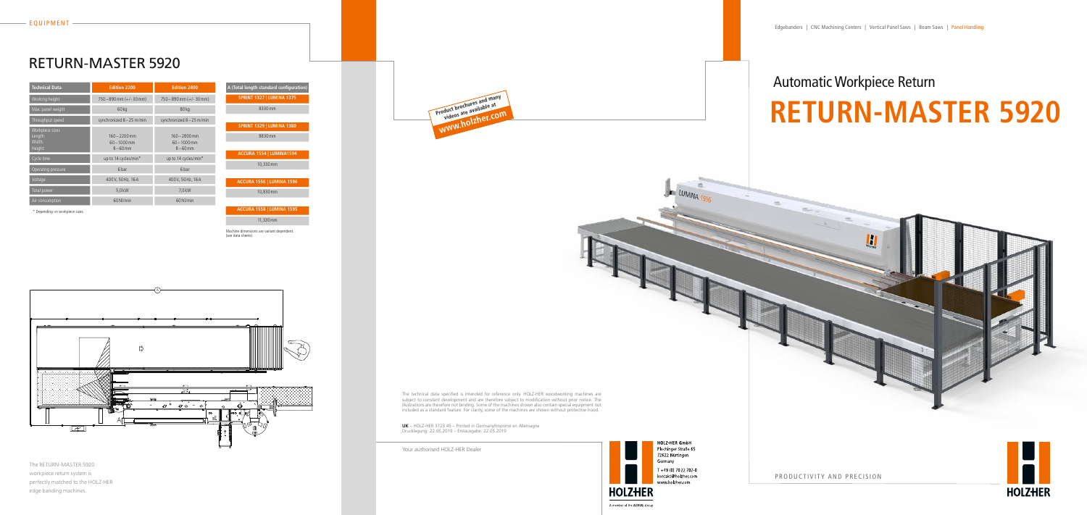# Automatic Workpiece Return **RETURN-MASTER 5920**



**HOLZ-HER GmbH** Plochinger Straße 65 72622 Nürtingen Germany T +49 (0) 70 22 702 0 kontakt@holzher.com www.holzher.com

 $\mathbf{F}$  LUMINA

The RETURN-MASTER 5920 workpiece return system is perfectly matched to the HOLZ-HER edge banding machines.

| <b>Technical Data</b>                           | <b>Edition 2200</b>                              | <b>Edition 2800</b>                              |
|-------------------------------------------------|--------------------------------------------------|--------------------------------------------------|
| Working height                                  | $750 - 890$ mm (+/-30 mm)                        | $750 - 890$ mm (+/-30 mm)                        |
| Max. panel weight                               | 60 <sub>kq</sub>                                 | 80kg                                             |
| Throughput speed                                | synchronized 8-25 m/min                          | synchronized 8-25 m/min                          |
| Workpiece sizes<br>Length:<br>Width:<br>Height: | $160 - 2200$ mm<br>$60 - 1000$ mm<br>$8 - 60$ mm | $160 - 2800$ mm<br>$60 - 1000$ mm<br>$8 - 60$ mm |
| Cycle time                                      | up to 14 cycles/min*                             | up to 14 cycles/min*                             |
| Operating pressure                              | 6 bar                                            | 6 bar                                            |
| Voltage                                         | 400 V, 50 Hz, 16 A                               | 400V, 50Hz, 16A                                  |
| Total power                                     | 5,0 kW                                           | 7,0 kW                                           |
| Air consumption                                 | 60Nl/min                                         | 60 NJ/min                                        |

# RETURN-MASTER 5920

PRODUCTIVITY AND PRECISION



The technical data specified is intended for reference only. HOLZ-HER woodworking machines are subject to constant development and are therefore subject to modification without prior notice. The illustrations are therefore not binding. Some of the machines shown also contain special equipment not included as a standard feature. For clarity, some of the machines are shown without protective hood.

**UK** – HOLZ-HER 3723 45 – Printed in Germany/Imprimé en Allemagne Drucklegung: 22.05.2019 – Erstausgabe: 22.05.2019



Your authorised HOLZ-HER Dealer

л

\* Depending on workpiece sizes.



11,330mm

Machine dimensions are variant dependent. (see data sheets)